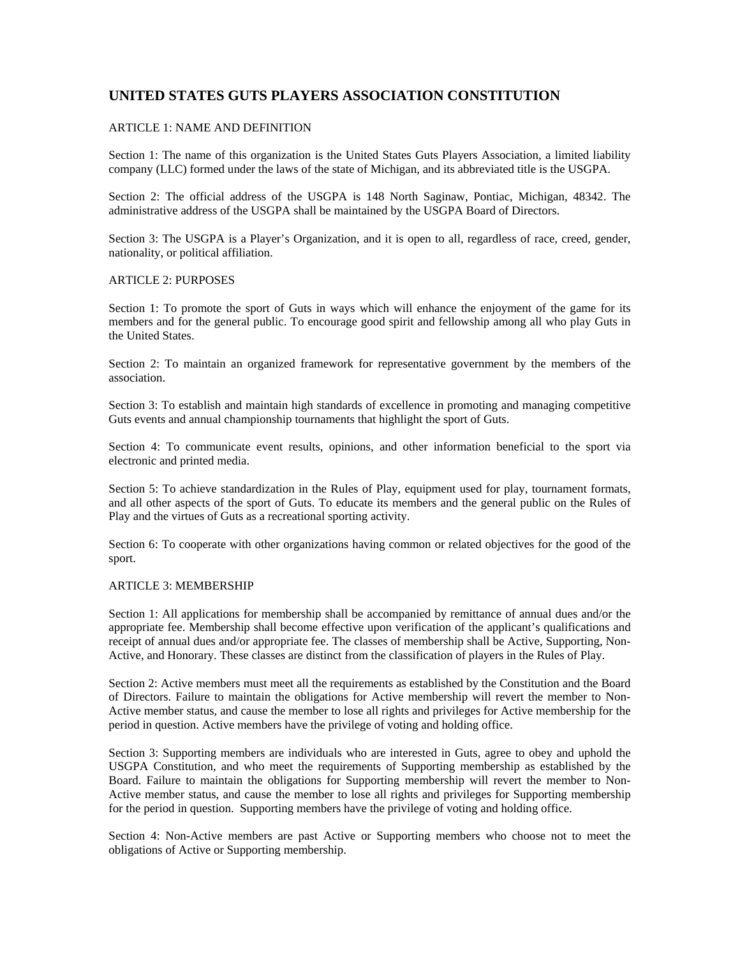# **UNITED STATES GUTS PLAYERS ASSOCIATION CONSTITUTION**

# ARTICLE 1: NAME AND DEFINITION

Section 1: The name of this organization is the United States Guts Players Association, a limited liability company (LLC) formed under the laws of the state of Michigan, and its abbreviated title is the USGPA.

Section 2: The official address of the USGPA is 148 North Saginaw, Pontiac, Michigan, 48342. The administrative address of the USGPA shall be maintained by the USGPA Board of Directors.

Section 3: The USGPA is a Player's Organization, and it is open to all, regardless of race, creed, gender, nationality, or political affiliation.

#### ARTICLE 2: PURPOSES

Section 1: To promote the sport of Guts in ways which will enhance the enjoyment of the game for its members and for the general public. To encourage good spirit and fellowship among all who play Guts in the United States.

Section 2: To maintain an organized framework for representative government by the members of the association.

Section 3: To establish and maintain high standards of excellence in promoting and managing competitive Guts events and annual championship tournaments that highlight the sport of Guts.

Section 4: To communicate event results, opinions, and other information beneficial to the sport via electronic and printed media.

Section 5: To achieve standardization in the Rules of Play, equipment used for play, tournament formats, and all other aspects of the sport of Guts. To educate its members and the general public on the Rules of Play and the virtues of Guts as a recreational sporting activity.

Section 6: To cooperate with other organizations having common or related objectives for the good of the sport.

# ARTICLE 3: MEMBERSHIP

Section 1: All applications for membership shall be accompanied by remittance of annual dues and/or the appropriate fee. Membership shall become effective upon verification of the applicant's qualifications and receipt of annual dues and/or appropriate fee. The classes of membership shall be Active, Supporting, Non-Active, and Honorary. These classes are distinct from the classification of players in the Rules of Play.

Section 2: Active members must meet all the requirements as established by the Constitution and the Board of Directors. Failure to maintain the obligations for Active membership will revert the member to Non-Active member status, and cause the member to lose all rights and privileges for Active membership for the period in question. Active members have the privilege of voting and holding office.

Section 3: Supporting members are individuals who are interested in Guts, agree to obey and uphold the USGPA Constitution, and who meet the requirements of Supporting membership as established by the Board. Failure to maintain the obligations for Supporting membership will revert the member to Non-Active member status, and cause the member to lose all rights and privileges for Supporting membership for the period in question. Supporting members have the privilege of voting and holding office.

Section 4: Non-Active members are past Active or Supporting members who choose not to meet the obligations of Active or Supporting membership.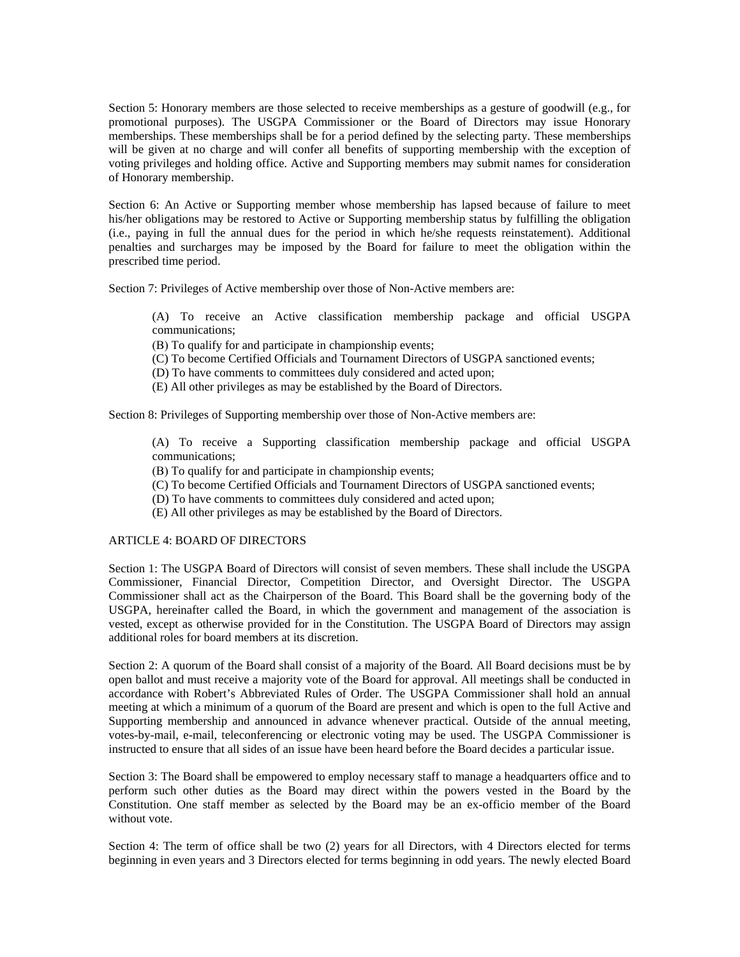Section 5: Honorary members are those selected to receive memberships as a gesture of goodwill (e.g., for promotional purposes). The USGPA Commissioner or the Board of Directors may issue Honorary memberships. These memberships shall be for a period defined by the selecting party. These memberships will be given at no charge and will confer all benefits of supporting membership with the exception of voting privileges and holding office. Active and Supporting members may submit names for consideration of Honorary membership.

Section 6: An Active or Supporting member whose membership has lapsed because of failure to meet his/her obligations may be restored to Active or Supporting membership status by fulfilling the obligation (i.e., paying in full the annual dues for the period in which he/she requests reinstatement). Additional penalties and surcharges may be imposed by the Board for failure to meet the obligation within the prescribed time period.

Section 7: Privileges of Active membership over those of Non-Active members are:

(A) To receive an Active classification membership package and official USGPA communications;

(Β) Τo qualify for and participate in championship events;

(C) To become Certified Officials and Tournament Directors of USGPA sanctioned events;

(D) To have comments to committees duly considered and acted upon;

(E) All other privileges as may be established by the Board of Directors.

Section 8: Privileges of Supporting membership over those of Non-Active members are:

(A) To receive a Supporting classification membership package and official USGPA communications;

- (Β) Τo qualify for and participate in championship events;
- (C) To become Certified Officials and Tournament Directors of USGPA sanctioned events;
- (D) To have comments to committees duly considered and acted upon;
- (E) All other privileges as may be established by the Board of Directors.

#### ARTICLE 4: BOARD OF DIRECTORS

Section 1: The USGPA Board of Directors will consist of seven members. These shall include the USGPA Commissioner, Financial Director, Competition Director, and Oversight Director. The USGPA Commissioner shall act as the Chairperson of the Board. This Board shall be the governing body of the USGPA, hereinafter called the Board, in which the government and management of the association is vested, except as otherwise provided for in the Constitution. The USGPA Board of Directors may assign additional roles for board members at its discretion.

Section 2: A quorum of the Board shall consist of a majority of the Board. All Board decisions must be by open ballot and must receive a majority vote of the Board for approval. All meetings shall be conducted in accordance with Robert's Abbreviated Rules of Order. The USGPA Commissioner shall hold an annual meeting at which a minimum of a quorum of the Board are present and which is open to the full Active and Supporting membership and announced in advance whenever practical. Outside of the annual meeting, votes-by-mail, e-mail, teleconferencing or electronic voting may be used. The USGPA Commissioner is instructed to ensure that all sides of an issue have been heard before the Board decides a particular issue.

Section 3: The Board shall be empowered to employ necessary staff to manage a headquarters office and to perform such other duties as the Board may direct within the powers vested in the Board by the Constitution. One staff member as selected by the Board may be an ex-officio member of the Board without vote.

Section 4: The term of office shall be two (2) years for all Directors, with 4 Directors elected for terms beginning in even years and 3 Directors elected for terms beginning in odd years. The newly elected Board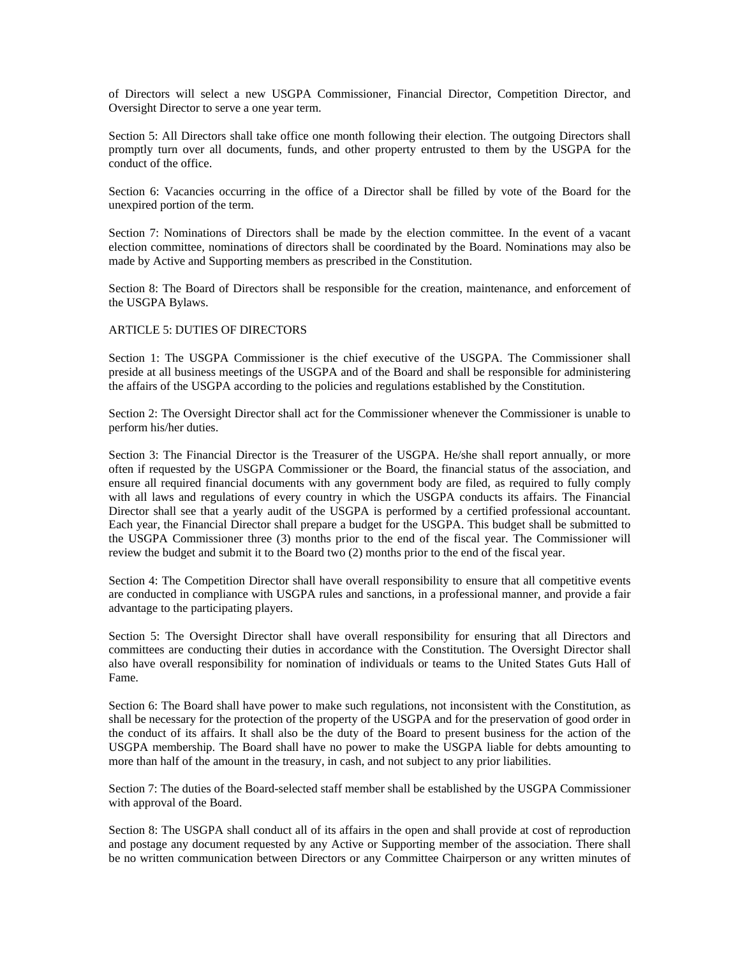of Directors will select a new USGPA Commissioner, Financial Director, Competition Director, and Oversight Director to serve a one year term.

Section 5: All Directors shall take office one month following their election. The outgoing Directors shall promptly turn over all documents, funds, and other property entrusted to them by the USGPA for the conduct of the office.

Section 6: Vacancies occurring in the office of a Director shall be filled by vote of the Board for the unexpired portion of the term.

Section 7: Nominations of Directors shall be made by the election committee. In the event of a vacant election committee, nominations of directors shall be coordinated by the Board. Nominations may also be made by Active and Supporting members as prescribed in the Constitution.

Section 8: The Board of Directors shall be responsible for the creation, maintenance, and enforcement of the USGPA Bylaws.

#### ARTICLE 5: DUTIES OF DIRECTORS

Section 1: The USGPA Commissioner is the chief executive of the USGPA. The Commissioner shall preside at all business meetings of the USGPA and of the Board and shall be responsible for administering the affairs of the USGPA according to the policies and regulations established by the Constitution.

Section 2: The Oversight Director shall act for the Commissioner whenever the Commissioner is unable to perform his/her duties.

Section 3: The Financial Director is the Treasurer of the USGPA. He/she shall report annually, or more often if requested by the USGPA Commissioner or the Board, the financial status of the association, and ensure all required financial documents with any government body are filed, as required to fully comply with all laws and regulations of every country in which the USGPA conducts its affairs. The Financial Director shall see that a yearly audit of the USGPA is performed by a certified professional accountant. Each year, the Financial Director shall prepare a budget for the USGPA. This budget shall be submitted to the USGPA Commissioner three (3) months prior to the end of the fiscal year. The Commissioner will review the budget and submit it to the Board two (2) months prior to the end of the fiscal year.

Section 4: The Competition Director shall have overall responsibility to ensure that all competitive events are conducted in compliance with USGPA rules and sanctions, in a professional manner, and provide a fair advantage to the participating players.

Section 5: The Oversight Director shall have overall responsibility for ensuring that all Directors and committees are conducting their duties in accordance with the Constitution. The Oversight Director shall also have overall responsibility for nomination of individuals or teams to the United States Guts Hall of Fame.

Section 6: The Board shall have power to make such regulations, not inconsistent with the Constitution, as shall be necessary for the protection of the property of the USGPA and for the preservation of good order in the conduct of its affairs. It shall also be the duty of the Board to present business for the action of the USGPA membership. The Board shall have no power to make the USGPA liable for debts amounting to more than half of the amount in the treasury, in cash, and not subject to any prior liabilities.

Section 7: The duties of the Board-selected staff member shall be established by the USGPA Commissioner with approval of the Board.

Section 8: The USGPA shall conduct all of its affairs in the open and shall provide at cost of reproduction and postage any document requested by any Active or Supporting member of the association. There shall be no written communication between Directors or any Committee Chairperson or any written minutes of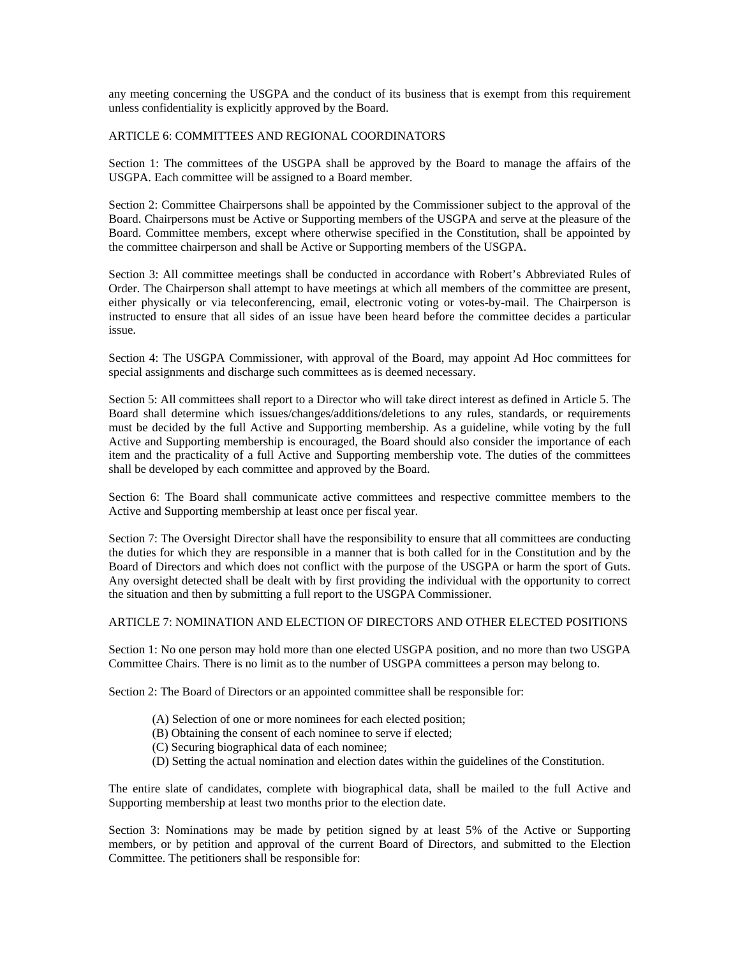any meeting concerning the USGPA and the conduct of its business that is exempt from this requirement unless confidentiality is explicitly approved by the Board.

### ARTICLE 6: COMMITTEES AND REGIONAL COORDINATORS

Section 1: The committees of the USGPA shall be approved by the Board to manage the affairs of the USGPA. Each committee will be assigned to a Board member.

Section 2: Committee Chairpersons shall be appointed by the Commissioner subject to the approval of the Board. Chairpersons must be Active or Supporting members of the USGPA and serve at the pleasure of the Board. Committee members, except where otherwise specified in the Constitution, shall be appointed by the committee chairperson and shall be Active or Supporting members of the USGPA.

Section 3: All committee meetings shall be conducted in accordance with Robert's Abbreviated Rules of Order. The Chairperson shall attempt to have meetings at which all members of the committee are present, either physically or via teleconferencing, email, electronic voting or votes-by-mail. The Chairperson is instructed to ensure that all sides of an issue have been heard before the committee decides a particular issue.

Section 4: The USGPA Commissioner, with approval of the Board, may appoint Ad Hoc committees for special assignments and discharge such committees as is deemed necessary.

Section 5: All committees shall report to a Director who will take direct interest as defined in Article 5. The Board shall determine which issues/changes/additions/deletions to any rules, standards, or requirements must be decided by the full Active and Supporting membership. As a guideline, while voting by the full Active and Supporting membership is encouraged, the Board should also consider the importance of each item and the practicality of a full Active and Supporting membership vote. The duties of the committees shall be developed by each committee and approved by the Board.

Section 6: The Board shall communicate active committees and respective committee members to the Active and Supporting membership at least once per fiscal year.

Section 7: The Oversight Director shall have the responsibility to ensure that all committees are conducting the duties for which they are responsible in a manner that is both called for in the Constitution and by the Board of Directors and which does not conflict with the purpose of the USGPA or harm the sport of Guts. Any oversight detected shall be dealt with by first providing the individual with the opportunity to correct the situation and then by submitting a full report to the USGPA Commissioner.

#### ARTICLE 7: NOMINATION AND ELECTION OF DIRECTORS AND OTHER ELECTED POSITIONS

Section 1: No one person may hold more than one elected USGPA position, and no more than two USGPA Committee Chairs. There is no limit as to the number of USGPA committees a person may belong to.

Section 2: The Board of Directors or an appointed committee shall be responsible for:

- (A) Selection of one or more nominees for each elected position;
- (B) Obtaining the consent of each nominee to serve if elected;
- (C) Securing biographical data of each nominee;
- (D) Setting the actual nomination and election dates within the guidelines of the Constitution.

The entire slate of candidates, complete with biographical data, shall be mailed to the full Active and Supporting membership at least two months prior to the election date.

Section 3: Nominations may be made by petition signed by at least 5% of the Active or Supporting members, or by petition and approval of the current Board of Directors, and submitted to the Election Committee. The petitioners shall be responsible for: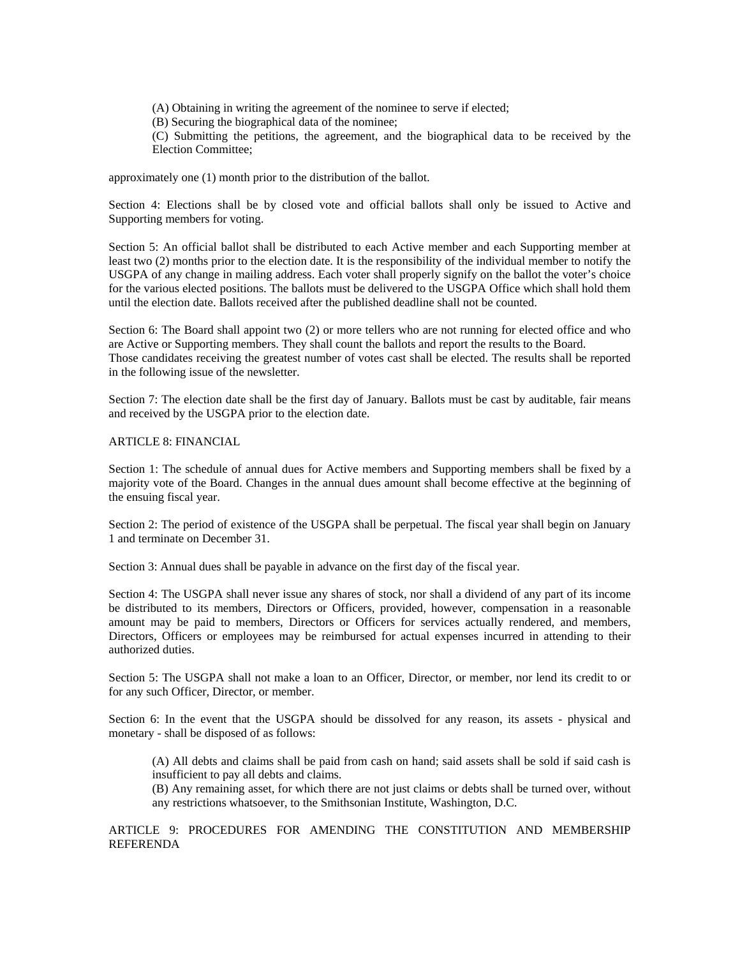(A) Obtaining in writing the agreement of the nominee to serve if elected;

(B) Securing the biographical data of the nominee;

(C) Submitting the petitions, the agreement, and the biographical data to be received by the Election Committee;

approximately one (1) month prior to the distribution of the ballot.

Section 4: Elections shall be by closed vote and official ballots shall only be issued to Active and Supporting members for voting.

Section 5: An official ballot shall be distributed to each Active member and each Supporting member at least two (2) months prior to the election date. It is the responsibility of the individual member to notify the USGPA of any change in mailing address. Each voter shall properly signify on the ballot the voter's choice for the various elected positions. The ballots must be delivered to the USGPA Office which shall hold them until the election date. Ballots received after the published deadline shall not be counted.

Section 6: The Board shall appoint two (2) or more tellers who are not running for elected office and who are Active or Supporting members. They shall count the ballots and report the results to the Board. Those candidates receiving the greatest number of votes cast shall be elected. The results shall be reported in the following issue of the newsletter.

Section 7: The election date shall be the first day of January. Ballots must be cast by auditable, fair means and received by the USGPA prior to the election date.

# ARTICLE 8: FINANCIAL

Section 1: The schedule of annual dues for Active members and Supporting members shall be fixed by a majority vote of the Board. Changes in the annual dues amount shall become effective at the beginning of the ensuing fiscal year.

Section 2: The period of existence of the USGPA shall be perpetual. The fiscal year shall begin on January 1 and terminate on December 31.

Section 3: Annual dues shall be payable in advance on the first day of the fiscal year.

Section 4: The USGPA shall never issue any shares of stock, nor shall a dividend of any part of its income be distributed to its members, Directors or Officers, provided, however, compensation in a reasonable amount may be paid to members, Directors or Officers for services actually rendered, and members, Directors, Officers or employees may be reimbursed for actual expenses incurred in attending to their authorized duties.

Section 5: The USGPA shall not make a loan to an Officer, Director, or member, nor lend its credit to or for any such Officer, Director, or member.

Section 6: In the event that the USGPA should be dissolved for any reason, its assets - physical and monetary - shall be disposed of as follows:

(A) All debts and claims shall be paid from cash on hand; said assets shall be sold if said cash is insufficient to pay all debts and claims.

(B) Any remaining asset, for which there are not just claims or debts shall be turned over, without any restrictions whatsoever, to the Smithsonian Institute, Washington, D.C.

ARTICLE 9: PROCEDURES FOR AMENDING THE CONSTITUTION AND MEMBERSHIP REFERENDA